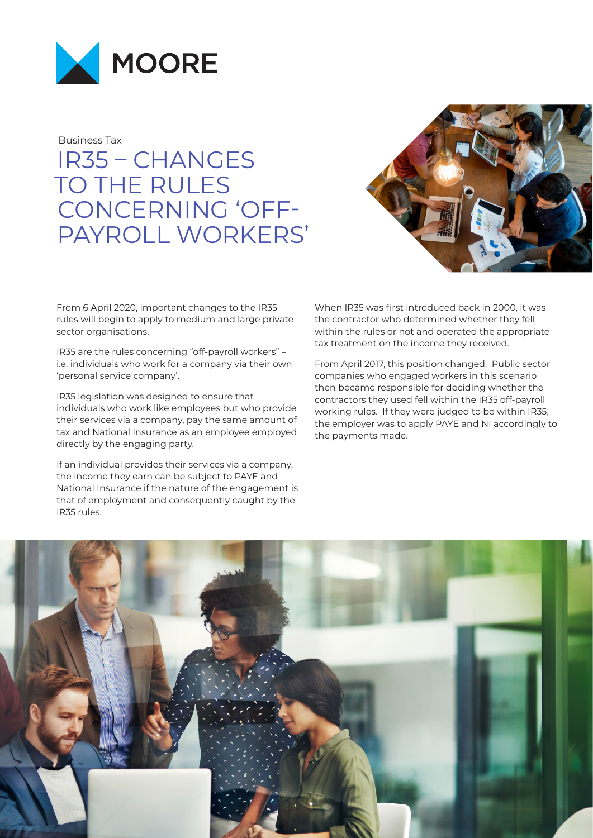

Business Tax

IR35 – CHANGES TO THE RULES CONCERNING 'OFF-PAYROLL WORKERS'



From 6 April 2020, important changes to the IR35 rules will begin to apply to medium and large private sector organisations.

IR35 are the rules concerning "off-payroll workers" – i.e. individuals who work for a company via their own 'personal service company'.

IR35 legislation was designed to ensure that individuals who work like employees but who provide their services via a company, pay the same amount of tax and National Insurance as an employee employed directly by the engaging party.

If an individual provides their services via a company, the income they earn can be subject to PAYE and National Insurance if the nature of the engagement is that of employment and consequently caught by the IR35 rules.

When IR35 was first introduced back in 2000, it was the contractor who determined whether they fell within the rules or not and operated the appropriate tax treatment on the income they received.

From April 2017, this position changed. Public sector companies who engaged workers in this scenario then became responsible for deciding whether the contractors they used fell within the IR35 off-payroll working rules. If they were judged to be within IR35, the employer was to apply PAYE and NI accordingly to the payments made.